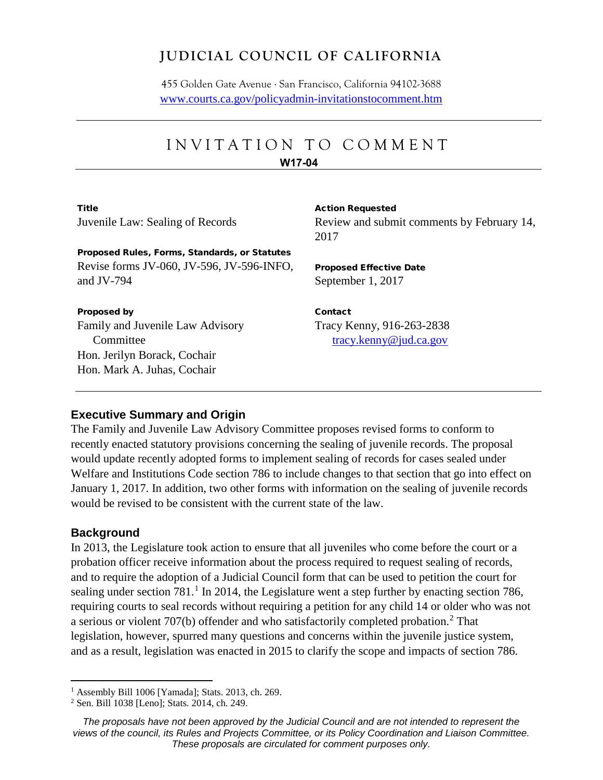# **JUDICIAL COUNCIL OF CALIFORNIA**

455 Golden Gate Avenue . San Francisco, California 94102-3688 [www.courts.ca.gov/policyadmin-invitationstocomment.htm](http://www.courts.ca.gov/policyadmin-invitationstocomment.htm)

# INVITATION TO COMMENT

#### **W17-04**

**Title** Juvenile Law: Sealing of Records Action Requested

Review and submit comments by February 14, 2017

Proposed Rules, Forms, Standards, or Statutes Revise forms JV-060, JV-596, JV-596-INFO, and JV-794

Proposed by

Family and Juvenile Law Advisory Committee Hon. Jerilyn Borack, Cochair Hon. Mark A. Juhas, Cochair

Proposed Effective Date September 1, 2017

Contact Tracy Kenny, 916-263-2838 [tracy.kenny@jud.ca.gov](mailto:tracy.kenny@jud.ca.gov)

# **Executive Summary and Origin**

The Family and Juvenile Law Advisory Committee proposes revised forms to conform to recently enacted statutory provisions concerning the sealing of juvenile records. The proposal would update recently adopted forms to implement sealing of records for cases sealed under Welfare and Institutions Code section 786 to include changes to that section that go into effect on January 1, 2017. In addition, two other forms with information on the sealing of juvenile records would be revised to be consistent with the current state of the law.

# **Background**

In 2013, the Legislature took action to ensure that all juveniles who come before the court or a probation officer receive information about the process required to request sealing of records, and to require the adoption of a Judicial Council form that can be used to petition the court for sealing under section  $781<sup>1</sup>$  $781<sup>1</sup>$  $781<sup>1</sup>$  In 2014, the Legislature went a step further by enacting section 786, requiring courts to seal records without requiring a petition for any child 14 or older who was not a serious or violent 707(b) offender and who satisfactorily completed probation.<sup>[2](#page-0-1)</sup> That legislation, however, spurred many questions and concerns within the juvenile justice system, and as a result, legislation was enacted in 2015 to clarify the scope and impacts of section 786.

<span id="page-0-0"></span><sup>1</sup> Assembly Bill 1006 [Yamada]; Stats. 2013, ch. 269.

<span id="page-0-1"></span><sup>2</sup> Sen. Bill 1038 [Leno]; Stats. 2014, ch. 249.

*The proposals have not been approved by the Judicial Council and are not intended to represent the views of the council, its Rules and Projects Committee, or its Policy Coordination and Liaison Committee. These proposals are circulated for comment purposes only.*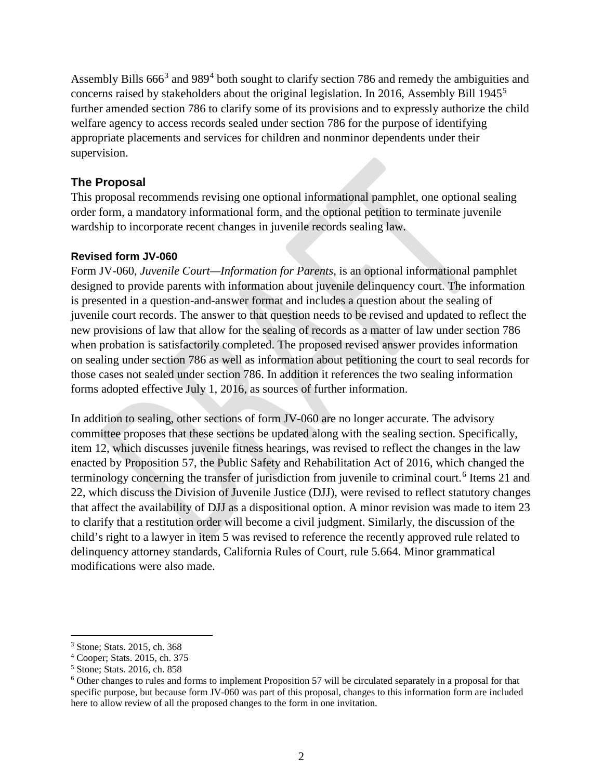Assembly Bills 666<sup>[3](#page-1-0)</sup> and 989<sup>[4](#page-1-1)</sup> both sought to clarify section 786 and remedy the ambiguities and concerns raised by stakeholders about the original legislation. In 2016, Assembly Bill 1945[5](#page-1-2) further amended section 786 to clarify some of its provisions and to expressly authorize the child welfare agency to access records sealed under section 786 for the purpose of identifying appropriate placements and services for children and nonminor dependents under their supervision.

# **The Proposal**

This proposal recommends revising one optional informational pamphlet, one optional sealing order form, a mandatory informational form, and the optional petition to terminate juvenile wardship to incorporate recent changes in juvenile records sealing law.

### **Revised form JV-060**

Form JV-060, *Juvenile Court—Information for Parents,* is an optional informational pamphlet designed to provide parents with information about juvenile delinquency court. The information is presented in a question-and-answer format and includes a question about the sealing of juvenile court records. The answer to that question needs to be revised and updated to reflect the new provisions of law that allow for the sealing of records as a matter of law under section 786 when probation is satisfactorily completed. The proposed revised answer provides information on sealing under section 786 as well as information about petitioning the court to seal records for those cases not sealed under section 786. In addition it references the two sealing information forms adopted effective July 1, 2016, as sources of further information.

In addition to sealing, other sections of form JV-060 are no longer accurate. The advisory committee proposes that these sections be updated along with the sealing section. Specifically, item 12, which discusses juvenile fitness hearings, was revised to reflect the changes in the law enacted by Proposition 57, the Public Safety and Rehabilitation Act of 2016, which changed the terminology concerning the transfer of jurisdiction from juvenile to criminal court.<sup>[6](#page-1-3)</sup> Items 21 and 22, which discuss the Division of Juvenile Justice (DJJ), were revised to reflect statutory changes that affect the availability of DJJ as a dispositional option. A minor revision was made to item 23 to clarify that a restitution order will become a civil judgment. Similarly, the discussion of the child's right to a lawyer in item 5 was revised to reference the recently approved rule related to delinquency attorney standards, California Rules of Court, rule 5.664. Minor grammatical modifications were also made.

 $\overline{a}$ 

<span id="page-1-0"></span><sup>3</sup> Stone; Stats. 2015, ch. 368

<span id="page-1-1"></span><sup>4</sup> Cooper; Stats. 2015, ch. 375

<span id="page-1-2"></span><sup>5</sup> Stone; Stats. 2016, ch. 858

<span id="page-1-3"></span><sup>6</sup> Other changes to rules and forms to implement Proposition 57 will be circulated separately in a proposal for that specific purpose, but because form JV-060 was part of this proposal, changes to this information form are included here to allow review of all the proposed changes to the form in one invitation.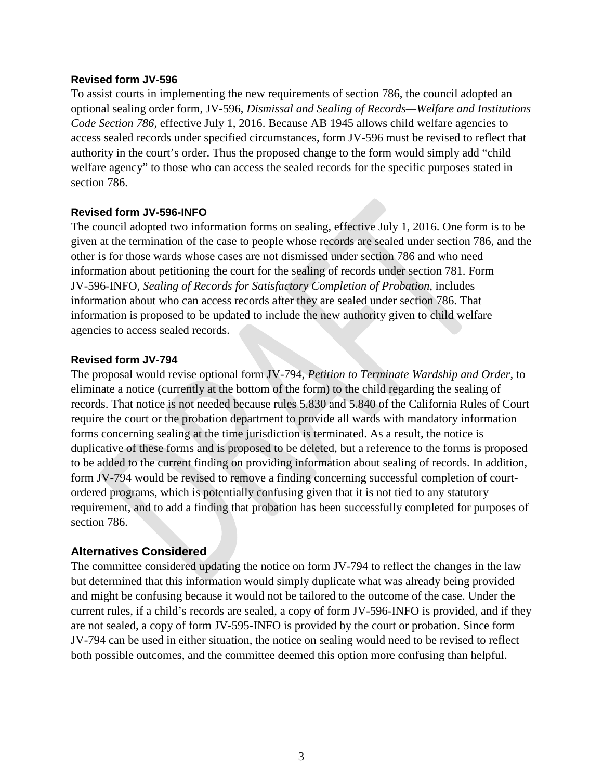#### **Revised form JV-596**

To assist courts in implementing the new requirements of section 786, the council adopted an optional sealing order form, JV-596, *Dismissal and Sealing of Records—Welfare and Institutions Code Section 786,* effective July 1, 2016. Because AB 1945 allows child welfare agencies to access sealed records under specified circumstances, form JV-596 must be revised to reflect that authority in the court's order. Thus the proposed change to the form would simply add "child welfare agency" to those who can access the sealed records for the specific purposes stated in section 786.

#### **Revised form JV-596-INFO**

The council adopted two information forms on sealing, effective July 1, 2016. One form is to be given at the termination of the case to people whose records are sealed under section 786, and the other is for those wards whose cases are not dismissed under section 786 and who need information about petitioning the court for the sealing of records under section 781. Form JV-596-INFO, *Sealing of Records for Satisfactory Completion of Probation,* includes information about who can access records after they are sealed under section 786. That information is proposed to be updated to include the new authority given to child welfare agencies to access sealed records.

#### **Revised form JV-794**

The proposal would revise optional form JV-794, *Petition to Terminate Wardship and Order,* to eliminate a notice (currently at the bottom of the form) to the child regarding the sealing of records. That notice is not needed because rules 5.830 and 5.840 of the California Rules of Court require the court or the probation department to provide all wards with mandatory information forms concerning sealing at the time jurisdiction is terminated. As a result, the notice is duplicative of these forms and is proposed to be deleted, but a reference to the forms is proposed to be added to the current finding on providing information about sealing of records. In addition, form JV-794 would be revised to remove a finding concerning successful completion of courtordered programs, which is potentially confusing given that it is not tied to any statutory requirement, and to add a finding that probation has been successfully completed for purposes of section 786.

# **Alternatives Considered**

The committee considered updating the notice on form JV-794 to reflect the changes in the law but determined that this information would simply duplicate what was already being provided and might be confusing because it would not be tailored to the outcome of the case. Under the current rules, if a child's records are sealed, a copy of form JV-596-INFO is provided, and if they are not sealed, a copy of form JV-595-INFO is provided by the court or probation. Since form JV-794 can be used in either situation, the notice on sealing would need to be revised to reflect both possible outcomes, and the committee deemed this option more confusing than helpful.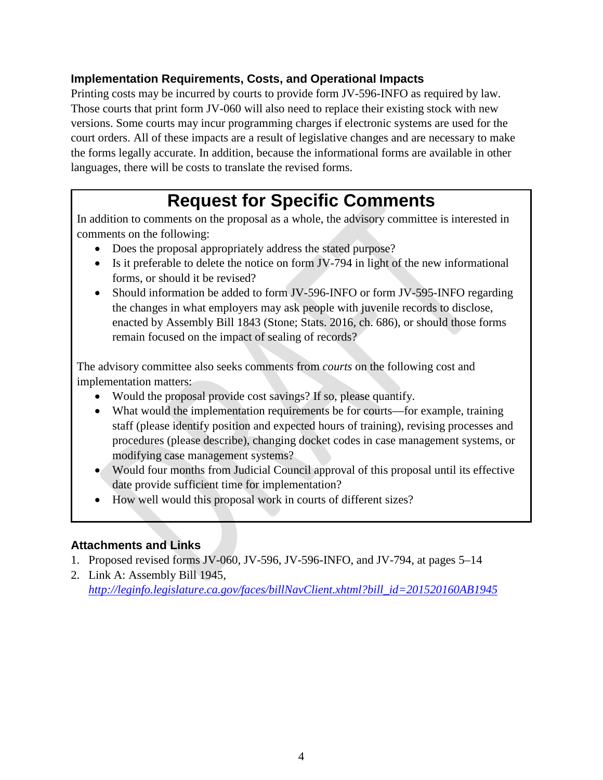# **Implementation Requirements, Costs, and Operational Impacts**

Printing costs may be incurred by courts to provide form JV-596-INFO as required by law. Those courts that print form JV-060 will also need to replace their existing stock with new versions. Some courts may incur programming charges if electronic systems are used for the court orders. All of these impacts are a result of legislative changes and are necessary to make the forms legally accurate. In addition, because the informational forms are available in other languages, there will be costs to translate the revised forms.

# **Request for Specific Comments**

In addition to comments on the proposal as a whole, the advisory committee is interested in comments on the following:

- Does the proposal appropriately address the stated purpose?
- Is it preferable to delete the notice on form JV-794 in light of the new informational forms, or should it be revised?
- Should information be added to form JV-596-INFO or form JV-595-INFO regarding the changes in what employers may ask people with juvenile records to disclose, enacted by Assembly Bill 1843 (Stone; Stats. 2016, ch. 686), or should those forms remain focused on the impact of sealing of records?

The advisory committee also seeks comments from *courts* on the following cost and implementation matters:

- Would the proposal provide cost savings? If so, please quantify.
- What would the implementation requirements be for courts—for example, training staff (please identify position and expected hours of training), revising processes and procedures (please describe), changing docket codes in case management systems, or modifying case management systems?
- Would four months from Judicial Council approval of this proposal until its effective date provide sufficient time for implementation?
- How well would this proposal work in courts of different sizes?

# **Attachments and Links**

- 1. Proposed revised forms JV-060, JV-596, JV-596-INFO, and JV-794, at pages 5–14
- 2. Link A: Assembly Bill 1945, *[http://leginfo.legislature.ca.gov/faces/billNavClient.xhtml?bill\\_id=201520160AB1945](http://leginfo.legislature.ca.gov/faces/billNavClient.xhtml?bill_id=201520160AB1945)*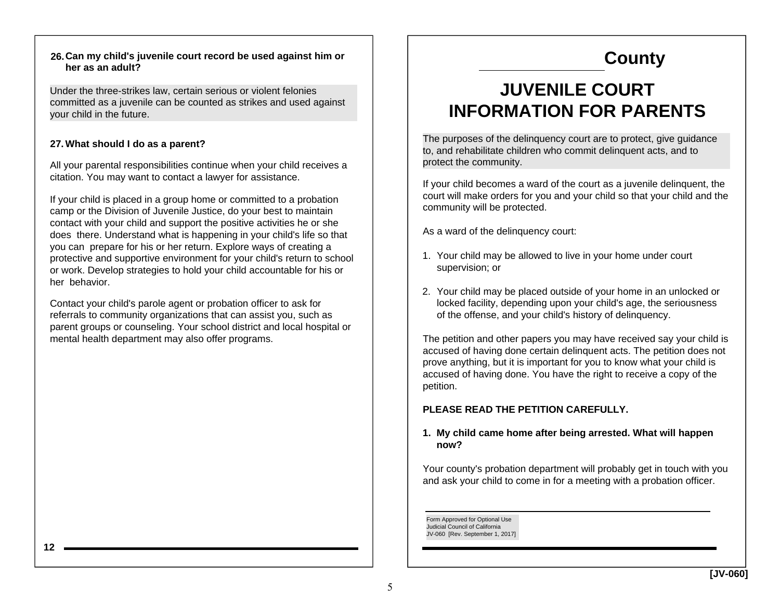#### **Can my child's juvenile court record be used against him or 26.her as an adult?**

Under the three-strikes law, certain serious or violent felonies committed as a juvenile can be counted as strikes and used against your child in the future.

#### **What should I do as a parent? 27.**

All your parental responsibilities continue when your child receives a citation. You may want to contact a lawyer for assistance.

If your child is placed in a group home or committed to a probation camp or the Division of Juvenile Justice, do your best to maintain contact with your child and support the positive activities he or she does there. Understand what is happening in your child's life so that you can prepare for his or her return. Explore ways of creating a protective and supportive environment for your child's return to school or work. Develop strategies to hold your child accountable for his or her behavior.

Contact your child's parole agent or probation officer to ask for referrals to community organizations that can assist you, such as parent groups or counseling. Your school district and local hospital or mental health department may also offer programs.

# **County**

# **JUVENILE COURT INFORMATION FOR PARENTS**

The purposes of the delinquency court are to protect, give guidance to, and rehabilitate children who commit delinquent acts, and to protect the community.

If your child becomes a ward of the court as a juvenile delinquent, the court will make orders for you and your child so that your child and the community will be protected.

As a ward of the delinquency court:

- 1. Your child may be allowed to live in your home under court supervision; or
- Your child may be placed outside of your home in an unlocked or 2.locked facility, depending upon your child's age, the seriousness of the offense, and your child's history of delinquency.

The petition and other papers you may have received say your child is accused of having done certain delinquent acts. The petition does not prove anything, but it is important for you to know what your child is accused of having done. You have the right to receive a copy of the petition.

#### **PLEASE READ THE PETITION CAREFULLY.**

#### **My child came home after being arrested. What will happen 1. now?**

Your county's probation department will probably get in touch with you and ask your child to come in for a meeting with a probation officer.

Form Approved for Optional Use Judicial Council of California JV-060 [Rev. September 1, 2017]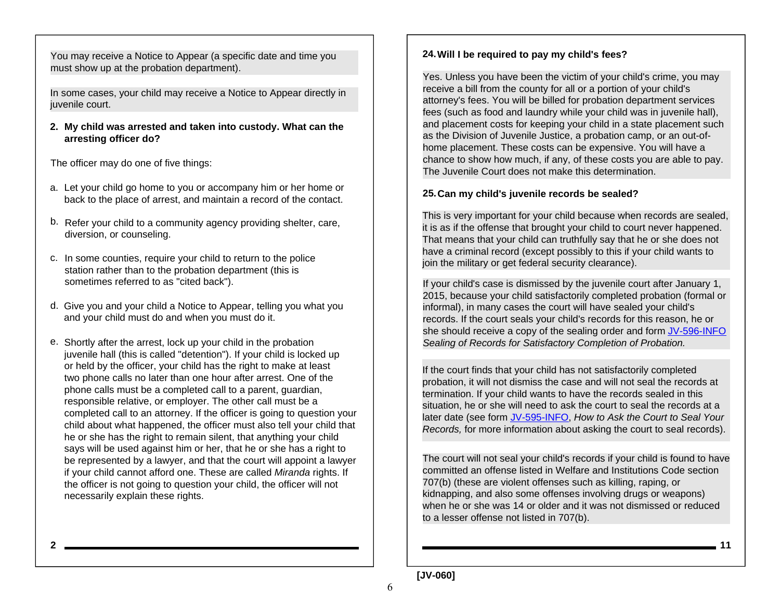You may receive a Notice to Appear (a specific date and time you must show up at the probation department).

In some cases, your child may receive a Notice to Appear directly in juvenile court.

**My child was arrested and taken into custody. What can the 2. arresting officer do?**

The officer may do one of five things:

- a. Let your child go home to you or accompany him or her home or back to the place of arrest, and maintain a record of the contact.
- b. Refer your child to a community agency providing shelter, care, diversion, or counseling.
- c. In some counties, require your child to return to the police station rather than to the probation department (this is sometimes referred to as "cited back").
- d. Give you and your child a Notice to Appear, telling you what you and your child must do and when you must do it.
- e. Shortly after the arrest, lock up your child in the probation juvenile hall (this is called "detention"). If your child is locked up or held by the officer, your child has the right to make at least two phone calls no later than one hour after arrest. One of the phone calls must be a completed call to a parent, guardian, responsible relative, or employer. The other call must be a completed call to an attorney. If the officer is going to question your child about what happened, the officer must also tell your child that he or she has the right to remain silent, that anything your child says will be used against him or her, that he or she has a right to be represented by a lawyer, and that the court will appoint a lawyer if your child cannot afford one. These are called *Miranda* rights. If the officer is not going to question your child, the officer will not necessarily explain these rights.

#### **Will I be required to pay my child's fees? 24.**

Yes. Unless you have been the victim of your child's crime, you may receive a bill from the county for all or a portion of your child's attorney's fees. You will be billed for probation department services fees (such as food and laundry while your child was in juvenile hall), and placement costs for keeping your child in a state placement such as the Division of Juvenile Justice, a probation camp, or an out-ofhome placement. These costs can be expensive. You will have a chance to show how much, if any, of these costs you are able to pay. The Juvenile Court does not make this determination.

#### **Can my child's juvenile records be sealed? 25.**

This is very important for your child because when records are sealed, it is as if the offense that brought your child to court never happened. That means that your child can truthfully say that he or she does not have a criminal record (except possibly to this if your child wants to join the military or get federal security clearance).

If your child's case is dismissed by the juvenile court after January 1, 2015, because your child satisfactorily completed probation (formal or informal), in many cases the court will have sealed your child's records. If the court seals your child's records for this reason, he or she should receive a copy of the sealing order and form JV-596-INFO *Sealing of Records for Satisfactory Completion of Probation.*

If the court finds that your child has not satisfactorily completed probation, it will not dismiss the case and will not seal the records at termination. If your child wants to have the records sealed in this situation, he or she will need to ask the court to seal the records at a later date (see form JV-595-INFO, *How to Ask the Court to Seal Your Records,* for more information about asking the court to seal records).

The court will not seal your child's records if your child is found to have committed an offense listed in Welfare and Institutions Code section 707(b) (these are violent offenses such as killing, raping, or kidnapping, and also some offenses involving drugs or weapons) when he or she was 14 or older and it was not dismissed or reduced to a lesser offense not listed in 707(b).

**211**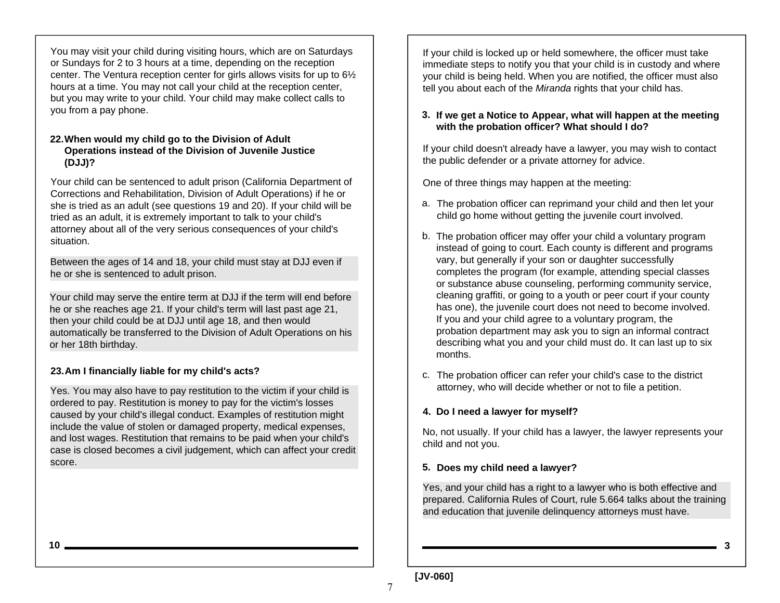You may visit your child during visiting hours, which are on Saturdays or Sundays for 2 to 3 hours at a time, depending on the reception center. The Ventura reception center for girls allows visits for up to 6½ hours at a time. You may not call your child at the reception center, but you may write to your child. Your child may make collect calls to you from a pay phone.

#### **When would my child go to the Division of Adult 22. Operations instead of the Division of Juvenile Justice (DJJ)?**

Your child can be sentenced to adult prison (California Department of Corrections and Rehabilitation, Division of Adult Operations) if he or she is tried as an adult (see questions 19 and 20). If your child will be tried as an adult, it is extremely important to talk to your child's attorney about all of the very serious consequences of your child's situation.

Between the ages of 14 and 18, your child must stay at DJJ even if he or she is sentenced to adult prison.

Your child may serve the entire term at DJJ if the term will end before he or she reaches age 21. If your child's term will last past age 21, then your child could be at DJJ until age 18, and then would automatically be transferred to the Division of Adult Operations on his or her 18th birthday.

#### **Am I financially liable for my child's acts? 23.**

Yes. You may also have to pay restitution to the victim if your child is ordered to pay. Restitution is money to pay for the victim's losses caused by your child's illegal conduct. Examples of restitution might include the value of stolen or damaged property, medical expenses, and lost wages. Restitution that remains to be paid when your child's case is closed becomes a civil judgement, which can affect your credit score.

If your child is locked up or held somewhere, the officer must take immediate steps to notify you that your child is in custody and where your child is being held. When you are notified, the officer must also tell you about each of the *Miranda* rights that your child has.

#### **If we get a Notice to Appear, what will happen at the meeting 3. with the probation officer? What should I do?**

If your child doesn't already have a lawyer, you may wish to contact the public defender or a private attorney for advice.

One of three things may happen at the meeting:

- The probation officer can reprimand your child and then let your a. child go home without getting the juvenile court involved.
- The probation officer may offer your child a voluntary program b. instead of going to court. Each county is different and programs vary, but generally if your son or daughter successfully completes the program (for example, attending special classes or substance abuse counseling, performing community service, cleaning graffiti, or going to a youth or peer court if your county has one), the juvenile court does not need to become involved. If you and your child agree to a voluntary program, the probation department may ask you to sign an informal contract describing what you and your child must do. It can last up to six months.
- The probation officer can refer your child's case to the district c. attorney, who will decide whether or not to file a petition.

#### **Do I need a lawyer for myself? 4.**

No, not usually. If your child has a lawyer, the lawyer represents your child and not you.

#### **Does my child need a lawyer? 5.**

Yes, and your child has a right to a lawyer who is both effective and prepared. California Rules of Court, rule 5.664 talks about the training and education that juvenile delinquency attorneys must have.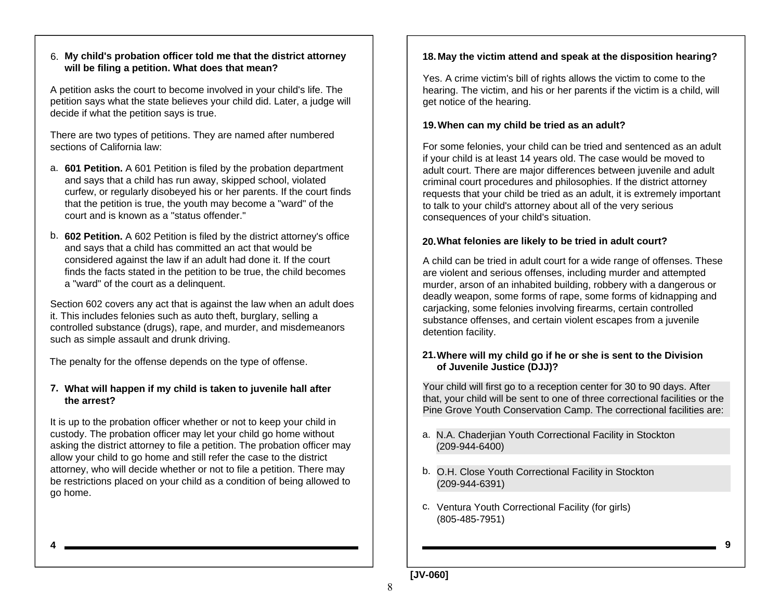#### **My child's probation officer told me that the district attorney**  6. **will be filing a petition. What does that mean?**

A petition asks the court to become involved in your child's life. The petition says what the state believes your child did. Later, a judge will decide if what the petition says is true.

There are two types of petitions. They are named after numbered sections of California law:

- a. **601 Petition.** A 601 Petition is filed by the probation department and says that a child has run away, skipped school, violated curfew, or regularly disobeyed his or her parents. If the court finds that the petition is true, the youth may become a "ward" of the court and is known as a "status offender."
- b. **602 Petition.** A 602 Petition is filed by the district attorney's office and says that a child has committed an act that would be considered against the law if an adult had done it. If the court finds the facts stated in the petition to be true, the child becomes <sup>a</sup>"ward" of the court as a delinquent.

Section 602 covers any act that is against the law when an adult does it. This includes felonies such as auto theft, burglary, selling a controlled substance (drugs), rape, and murder, and misdemeanors such as simple assault and drunk driving.

The penalty for the offense depends on the type of offense.

#### **What will happen if my child is taken to juvenile hall after 7. the arrest?**

It is up to the probation officer whether or not to keep your child in custody. The probation officer may let your child go home without asking the district attorney to file a petition. The probation officer may allow your child to go home and still refer the case to the district attorney, who will decide whether or not to file a petition. There may be restrictions placed on your child as a condition of being allowed to go home.

#### **May the victim attend and speak at the disposition hearing? 18.**

Yes. A crime victim's bill of rights allows the victim to come to the hearing. The victim, and his or her parents if the victim is a child, will get notice of the hearing.

#### **When can my child be tried as an adult? 19.**

For some felonies, your child can be tried and sentenced as an adult if your child is at least 14 years old. The case would be moved to adult court. There are major differences between juvenile and adult criminal court procedures and philosophies. If the district attorney requests that your child be tried as an adult, it is extremely important to talk to your child's attorney about all of the very serious consequences of your child's situation.

#### **What felonies are likely to be tried in adult court? 20.**

A child can be tried in adult court for a wide range of offenses. These are violent and serious offenses, including murder and attempted murder, arson of an inhabited building, robbery with a dangerous or deadly weapon, some forms of rape, some forms of kidnapping and carjacking, some felonies involving firearms, certain controlled substance offenses, and certain violent escapes from a juvenile detention facility.

#### **Where will my child go if he or she is sent to the Division 21. of Juvenile Justice (DJJ)?**

Your child will first go to a reception center for 30 to 90 days. After that, your child will be sent to one of three correctional facilities or the Pine Grove Youth Conservation Camp. The correctional facilities are:

- N.A. Chaderjian Youth Correctional Facility in Stockton a. (209-944-6400)
- b. O.H. Close Youth Correctional Facility in Stockton (209-944-6391)
- c. Ventura Youth Correctional Facility (for girls) (805-485-7951)

**4**

**9**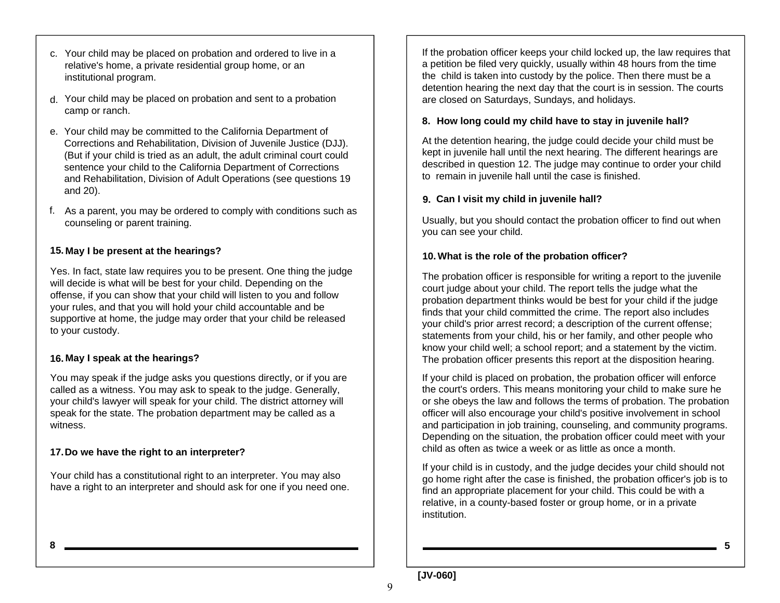- c. Your child may be placed on probation and ordered to live in a relative's home, a private residential group home, or an institutional program.
- Your child may be placed on probation and sent to a probation d. camp or ranch.
- Your child may be committed to the California Department of e. Corrections and Rehabilitation, Division of Juvenile Justice (DJJ). (But if your child is tried as an adult, the adult criminal court could sentence your child to the California Department of Corrections and Rehabilitation, Division of Adult Operations (see questions 19 and 20).
- As a parent, you may be ordered to comply with conditions such as f. counseling or parent training.

#### **May I be present at the hearings? 15.**

Yes. In fact, state law requires you to be present. One thing the judge will decide is what will be best for your child. Depending on the offense, if you can show that your child will listen to you and follow your rules, and that you will hold your child accountable and be supportive at home, the judge may order that your child be released to your custody.

#### **May I speak at the hearings? 16.**

You may speak if the judge asks you questions directly, or if you are called as a witness. You may ask to speak to the judge. Generally, your child's lawyer will speak for your child. The district attorney will speak for the state. The probation department may be called as a witness.

#### **Do we have the right to an interpreter? 17.**

Your child has a constitutional right to an interpreter. You may also have a right to an interpreter and should ask for one if you need one.

If the probation officer keeps your child locked up, the law requires that a petition be filed very quickly, usually within 48 hours from the time the child is taken into custody by the police. Then there must be a detention hearing the next day that the court is in session. The courts are closed on Saturdays, Sundays, and holidays.

#### **How long could my child have to stay in juvenile hall? 8.**

At the detention hearing, the judge could decide your child must be kept in juvenile hall until the next hearing. The different hearings are described in question 12. The judge may continue to order your child to remain in juvenile hall until the case is finished.

#### **Can I visit my child in juvenile hall? 9.**

Usually, but you should contact the probation officer to find out when you can see your child.

#### **What is the role of the probation officer? 10.**

The probation officer is responsible for writing a report to the juvenile court judge about your child. The report tells the judge what the probation department thinks would be best for your child if the judge finds that your child committed the crime. The report also includes your child's prior arrest record; a description of the current offense; statements from your child, his or her family, and other people who know your child well; a school report; and a statement by the victim. The probation officer presents this report at the disposition hearing.

If your child is placed on probation, the probation officer will enforce the court's orders. This means monitoring your child to make sure he or she obeys the law and follows the terms of probation. The probation officer will also encourage your child's positive involvement in school and participation in job training, counseling, and community programs. Depending on the situation, the probation officer could meet with your child as often as twice a week or as little as once a month.

If your child is in custody, and the judge decides your child should not go home right after the case is finished, the probation officer's job is to find an appropriate placement for your child. This could be with a relative, in a county-based foster or group home, or in a private institution.

**5**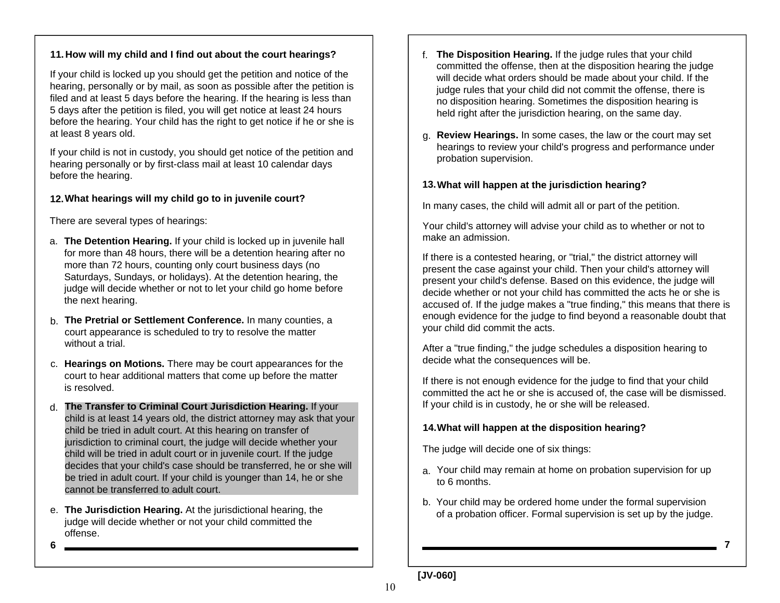#### **How will my child and I find out about the court hearings? 11.**

If your child is locked up you should get the petition and notice of the hearing, personally or by mail, as soon as possible after the petition is filed and at least 5 days before the hearing. If the hearing is less than 5 days after the petition is filed, you will get notice at least 24 hours before the hearing. Your child has the right to get notice if he or she is at least 8 years old.

If your child is not in custody, you should get notice of the petition and hearing personally or by first-class mail at least 10 calendar days before the hearing.

#### **What hearings will my child go to in juvenile court? 12.**

There are several types of hearings:

- a. **The Detention Hearing.** If your child is locked up in juvenile hall for more than 48 hours, there will be a detention hearing after no more than 72 hours, counting only court business days (no Saturdays, Sundays, or holidays). At the detention hearing, the judge will decide whether or not to let your child go home before the next hearing.
- b. **The Pretrial or Settlement Conference.** In many counties, a court appearance is scheduled to try to resolve the matter without a trial.
- c. **Hearings on Motions.** There may be court appearances for the court to hear additional matters that come up before the matter is resolved.
- d. **The Transfer to Criminal Court Jurisdiction Hearing.** If your child is at least 14 years old, the district attorney may ask that your child be tried in adult court. At this hearing on transfer of jurisdiction to criminal court, the judge will decide whether your child will be tried in adult court or in juvenile court. If the judge decides that your child's case should be transferred, he or she will be tried in adult court. If your child is younger than 14, he or she cannot be transferred to adult court.
- e. **The Jurisdiction Hearing.** At the jurisdictional hearing, the judge will decide whether or not your child committed the offense.
- **6**
- f. **The Disposition Hearing.** If the judge rules that your child committed the offense, then at the disposition hearing the judge will decide what orders should be made about your child. If the judge rules that your child did not commit the offense, there is no disposition hearing. Sometimes the disposition hearing is held right after the jurisdiction hearing, on the same day.
- g. **Review Hearings.** In some cases, the law or the court may set hearings to review your child's progress and performance under probation supervision.

#### **What will happen at the jurisdiction hearing? 13.**

In many cases, the child will admit all or part of the petition.

Your child's attorney will advise your child as to whether or not to make an admission.

If there is a contested hearing, or "trial," the district attorney will present the case against your child. Then your child's attorney will present your child's defense. Based on this evidence, the judge will decide whether or not your child has committed the acts he or she is accused of. If the judge makes a "true finding," this means that there is enough evidence for the judge to find beyond a reasonable doubt that your child did commit the acts.

After a "true finding," the judge schedules a disposition hearing to decide what the consequences will be.

If there is not enough evidence for the judge to find that your child committed the act he or she is accused of, the case will be dismissed. If your child is in custody, he or she will be released.

#### **What will happen at the disposition hearing? 14.**

The judge will decide one of six things:

- Your child may remain at home on probation supervision for up a.to 6 months.
- Your child may be ordered home under the formal supervision b. of a probation officer. Formal supervision is set up by the judge.

**7**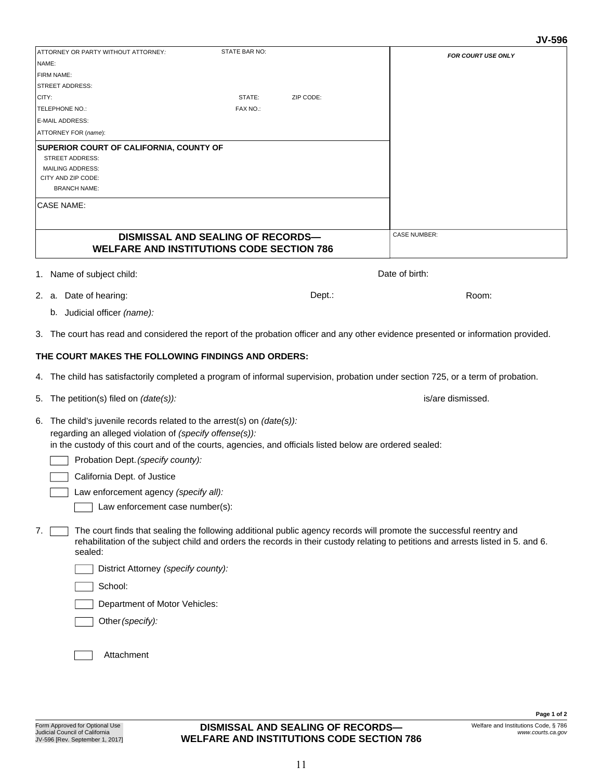Form Approved for Optional Use

**DISMISSAL AND SEALING OF RECORDS-WELFARE AND INSTITUTIONS CODE SECTION 786**

| ATTORNEY OR PARTY WITHOUT ATTORNEY:                                                                      | STATE BAR NO:                                    | <b>FOR COURT USE ONLY</b>                                                                                                          |
|----------------------------------------------------------------------------------------------------------|--------------------------------------------------|------------------------------------------------------------------------------------------------------------------------------------|
| NAME:                                                                                                    |                                                  |                                                                                                                                    |
| FIRM NAME:                                                                                               |                                                  |                                                                                                                                    |
| <b>STREET ADDRESS:</b>                                                                                   |                                                  |                                                                                                                                    |
| CITY:                                                                                                    | STATE:<br>ZIP CODE:                              |                                                                                                                                    |
| TELEPHONE NO.:                                                                                           | FAX NO.:                                         |                                                                                                                                    |
| <b>E-MAIL ADDRESS:</b>                                                                                   |                                                  |                                                                                                                                    |
| ATTORNEY FOR (name):                                                                                     |                                                  |                                                                                                                                    |
| SUPERIOR COURT OF CALIFORNIA, COUNTY OF                                                                  |                                                  |                                                                                                                                    |
| <b>STREET ADDRESS:</b>                                                                                   |                                                  |                                                                                                                                    |
| <b>MAILING ADDRESS:</b><br>CITY AND ZIP CODE:                                                            |                                                  |                                                                                                                                    |
| <b>BRANCH NAME:</b>                                                                                      |                                                  |                                                                                                                                    |
|                                                                                                          |                                                  |                                                                                                                                    |
| <b>CASE NAME:</b>                                                                                        |                                                  |                                                                                                                                    |
|                                                                                                          |                                                  |                                                                                                                                    |
|                                                                                                          | <b>DISMISSAL AND SEALING OF RECORDS-</b>         | <b>CASE NUMBER:</b>                                                                                                                |
|                                                                                                          | <b>WELFARE AND INSTITUTIONS CODE SECTION 786</b> |                                                                                                                                    |
|                                                                                                          |                                                  |                                                                                                                                    |
| 1. Name of subject child:                                                                                |                                                  | Date of birth:                                                                                                                     |
| 2. a. Date of hearing:                                                                                   |                                                  | Dept.:<br>Room:                                                                                                                    |
|                                                                                                          |                                                  |                                                                                                                                    |
| b. Judicial officer (name):                                                                              |                                                  |                                                                                                                                    |
|                                                                                                          |                                                  | 3. The court has read and considered the report of the probation officer and any other evidence presented or information provided. |
|                                                                                                          |                                                  |                                                                                                                                    |
| THE COURT MAKES THE FOLLOWING FINDINGS AND ORDERS:                                                       |                                                  |                                                                                                                                    |
|                                                                                                          |                                                  | 4. The child has satisfactorily completed a program of informal supervision, probation under section 725, or a term of probation.  |
|                                                                                                          |                                                  |                                                                                                                                    |
| 5. The petition(s) filed on (date(s)):                                                                   |                                                  | is/are dismissed.                                                                                                                  |
| 6. The child's juvenile records related to the arrest(s) on (date(s)):                                   |                                                  |                                                                                                                                    |
| regarding an alleged violation of (specify offense(s)):                                                  |                                                  |                                                                                                                                    |
| in the custody of this court and of the courts, agencies, and officials listed below are ordered sealed: |                                                  |                                                                                                                                    |
|                                                                                                          |                                                  |                                                                                                                                    |
| Probation Dept. (specify county):                                                                        |                                                  |                                                                                                                                    |
| California Dept. of Justice                                                                              |                                                  |                                                                                                                                    |
| Law enforcement agency (specify all):                                                                    |                                                  |                                                                                                                                    |
| Law enforcement case number(s):                                                                          |                                                  |                                                                                                                                    |
| 7.                                                                                                       |                                                  | The court finds that sealing the following additional public agency records will promote the successful reentry and                |
|                                                                                                          |                                                  | rehabilitation of the subject child and orders the records in their custody relating to petitions and arrests listed in 5. and 6.  |

Department of Motor Vehicles:

*(specify):* Other

Attachment

### DISMISS/ **WELFARE AND**

- 
- - b. Judicial officer *(name):*
- 3. The court has read and considered the report of the probation officer and any other evidence presented or information provided.

# **THE COURT MAKES THE FOL**

- The child has satisfactorily c 4.
- The petition(s) filed on *(date(s)):* 5.
- regarding an alleged violatio in the custody of this court a The child's juvenile records related to the arrest(s) on *(date(s)):*  6.

 $\vert$  The court finds that se rehabilitation of the su sealed: 7.

District Attorney *(specify county):*

School:

**Page 1 of 2** Welfare and Institutions Code, § 786

*www.courts.ca.gov*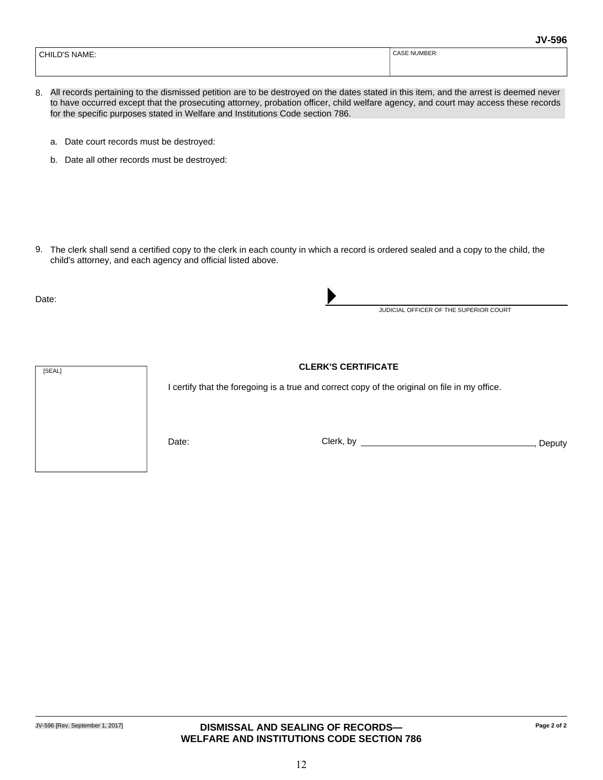| NAME:<br>CHILI<br>$\mathbf{C}$ | CASE NUMBER: |
|--------------------------------|--------------|
|                                |              |

- All records pertaining to the dismissed petition are to be destroyed on the dates stated in this item, and the arrest is deemed never 8. to have occurred except that the prosecuting attorney, probation officer, child welfare agency, and court may access these records for the specific purposes stated in Welfare and Institutions Code section 786.
	- a. Date court records must be destroyed:
	- b. Date all other records must be destroyed:

9. The clerk shall send a certified copy to the clerk in each county in which a record is ordered sealed and a copy to the child, the child's attorney, and each agency and official listed above.

Date:



I certify that the foregoing is a true and correct copy of the original on file in my office.

Date: Clerk, by , Deputy

JUDICIAL OFFICER OF THE SUPERIOR COURT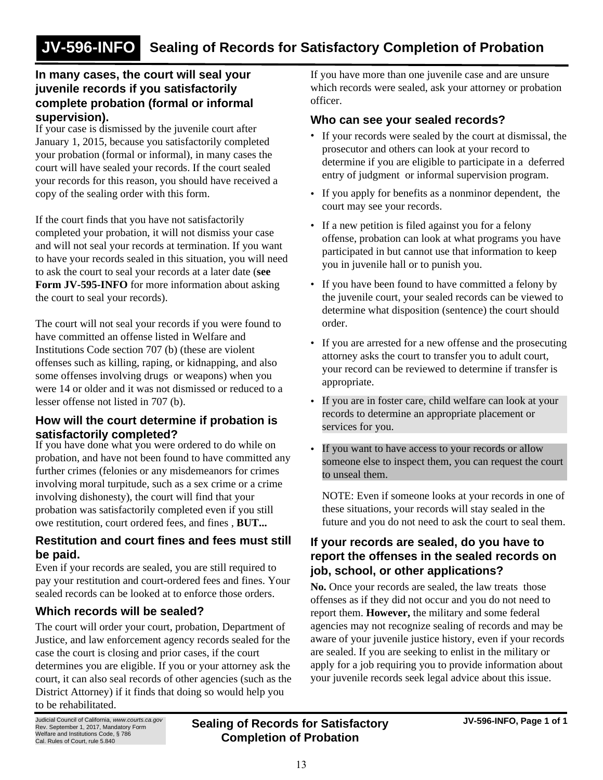# **In many cases, the court will seal your juvenile records if you satisfactorily complete probation (formal or informal supervision).**

If your case is dismissed by the juvenile court after January 1, 2015, because you satisfactorily completed your probation (formal or informal), in many cases the court will have sealed your records. If the court sealed your records for this reason, you should have received a copy of the sealing order with this form.

If the court finds that you have not satisfactorily completed your probation, it will not dismiss your case and will not seal your records at termination. If you want to have your records sealed in this situation, you will need to ask the court to seal your records at a later date (**see Form JV-595-INFO** for more information about asking the court to seal your records).

The court will not seal your records if you were found to have committed an offense listed in Welfare and Institutions Code section 707 (b) (these are violent offenses such as killing, raping, or kidnapping, and also some offenses involving drugs or weapons) when you were 14 or older and it was not dismissed or reduced to a lesser offense not listed in 707 (b).

# **How will the court determine if probation is satisfactorily completed?**

If you have done what you were ordered to do while on probation, and have not been found to have committed any further crimes (felonies or any misdemeanors for crimes involving moral turpitude, such as a sex crime or a crime involving dishonesty), the court will find that your probation was satisfactorily completed even if you still owe restitution, court ordered fees, and fines , **BUT...**

# **Restitution and court fines and fees must still be paid.**

Even if your records are sealed, you are still required to pay your restitution and court-ordered fees and fines. Your sealed records can be looked at to enforce those orders.

# **Which records will be sealed?**

The court will order your court, probation, Department of Justice, and law enforcement agency records sealed for the case the court is closing and prior cases, if the court determines you are eligible. If you or your attorney ask the court, it can also seal records of other agencies (such as the District Attorney) if it finds that doing so would help you to be rehabilitated.

If you have more than one juvenile case and are unsure which records were sealed, ask your attorney or probation officer.

### **Who can see your sealed records?**

- If your records were sealed by the court at dismissal, the prosecutor and others can look at your record to determine if you are eligible to participate in a deferred entry of judgment or informal supervision program.
- If you apply for benefits as a nonminor dependent, the court may see your records.
- If a new petition is filed against you for a felony offense, probation can look at what programs you have participated in but cannot use that information to keep you in juvenile hall or to punish you.
- If you have been found to have committed a felony by the juvenile court, your sealed records can be viewed to determine what disposition (sentence) the court should order.
- If you are arrested for a new offense and the prosecuting attorney asks the court to transfer you to adult court, your record can be reviewed to determine if transfer is appropriate.
- If you are in foster care, child welfare can look at your records to determine an appropriate placement or services for you.
- If you want to have access to your records or allow someone else to inspect them, you can request the court to unseal them.

NOTE: Even if someone looks at your records in one of these situations, your records will stay sealed in the future and you do not need to ask the court to seal them.

# **If your records are sealed, do you have to report the offenses in the sealed records on job, school, or other applications?**

**No.** Once your records are sealed, the law treats those offenses as if they did not occur and you do not need to report them. **However,** the military and some federal agencies may not recognize sealing of records and may be aware of your juvenile justice history, even if your records are sealed. If you are seeking to enlist in the military or apply for a job requiring you to provide information about your juvenile records seek legal advice about this issue.

Judicial Council of California, *www.courts.ca.gov* Rev. September 1, 2017, Mandatory Form Welfare and Institutions Code, § 786 Cal. Rules of Court, rule 5.840

**Sealing of Records for Satisfactory JV-596-INFO, Page 1 of 1 Completion of Probation**